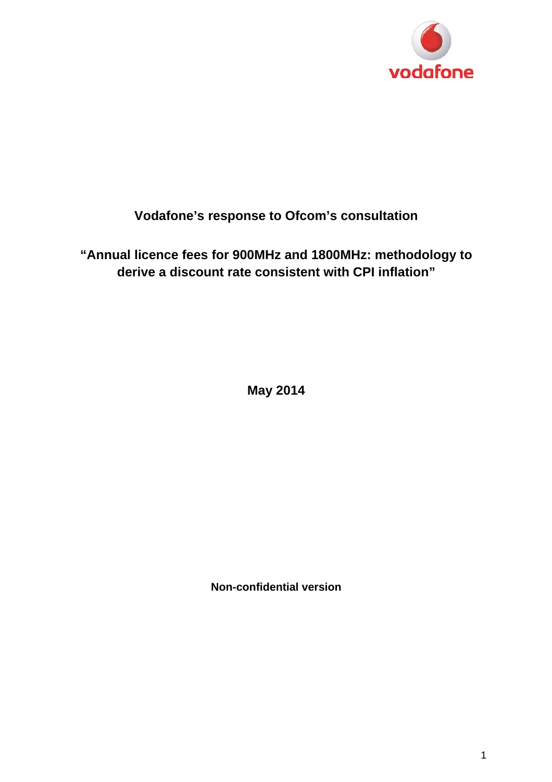

# **Vodafone's response to Ofcom's consultation**

**"Annual licence fees for 900MHz and 1800MHz: methodology to derive a discount rate consistent with CPI inflation"** 

**May 2014** 

**Non-confidential version**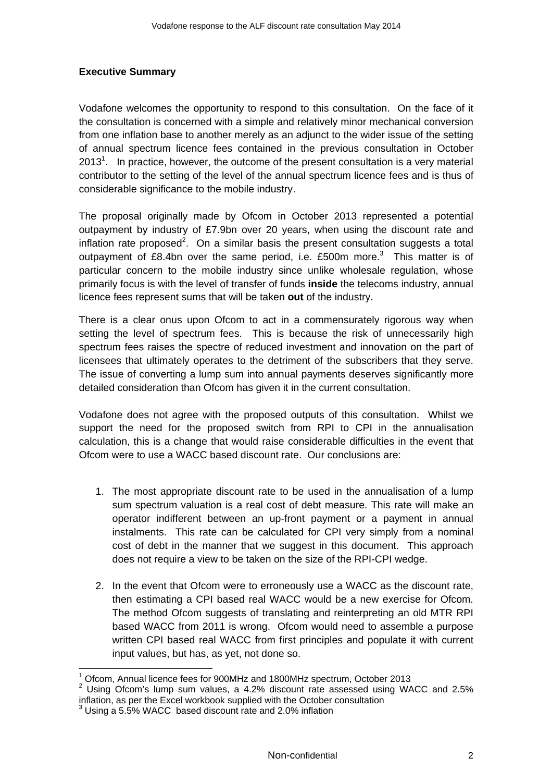# **Executive Summary**

Vodafone welcomes the opportunity to respond to this consultation. On the face of it the consultation is concerned with a simple and relatively minor mechanical conversion from one inflation base to another merely as an adjunct to the wider issue of the setting of annual spectrum licence fees contained in the previous consultation in October 2013<sup>1</sup>. In practice, however, the outcome of the present consultation is a very material contributor to the setting of the level of the annual spectrum licence fees and is thus of considerable significance to the mobile industry.

The proposal originally made by Ofcom in October 2013 represented a potential outpayment by industry of £7.9bn over 20 years, when using the discount rate and inflation rate proposed<sup>2</sup>. On a similar basis the present consultation suggests a total outpayment of £8.4bn over the same period, i.e.  $£500m$  more.<sup>3</sup> This matter is of particular concern to the mobile industry since unlike wholesale regulation, whose primarily focus is with the level of transfer of funds **inside** the telecoms industry, annual licence fees represent sums that will be taken **out** of the industry.

There is a clear onus upon Ofcom to act in a commensurately rigorous way when setting the level of spectrum fees. This is because the risk of unnecessarily high spectrum fees raises the spectre of reduced investment and innovation on the part of licensees that ultimately operates to the detriment of the subscribers that they serve. The issue of converting a lump sum into annual payments deserves significantly more detailed consideration than Ofcom has given it in the current consultation.

Vodafone does not agree with the proposed outputs of this consultation. Whilst we support the need for the proposed switch from RPI to CPI in the annualisation calculation, this is a change that would raise considerable difficulties in the event that Ofcom were to use a WACC based discount rate. Our conclusions are:

- 1. The most appropriate discount rate to be used in the annualisation of a lump sum spectrum valuation is a real cost of debt measure. This rate will make an operator indifferent between an up-front payment or a payment in annual instalments. This rate can be calculated for CPI very simply from a nominal cost of debt in the manner that we suggest in this document. This approach does not require a view to be taken on the size of the RPI-CPI wedge.
- 2. In the event that Ofcom were to erroneously use a WACC as the discount rate, then estimating a CPI based real WACC would be a new exercise for Ofcom. The method Ofcom suggests of translating and reinterpreting an old MTR RPI based WACC from 2011 is wrong. Ofcom would need to assemble a purpose written CPI based real WACC from first principles and populate it with current input values, but has, as yet, not done so.

<sup>1</sup> Ofcom, Annual licence fees for 900MHz and 1800MHz spectrum, October 2013

 $2$  Using Ofcom's lump sum values, a 4.2% discount rate assessed using WACC and 2.5% inflation, as per the Excel workbook supplied with the October consultation

<sup>&</sup>lt;sup>3</sup> Using a 5.5% WACC based discount rate and 2.0% inflation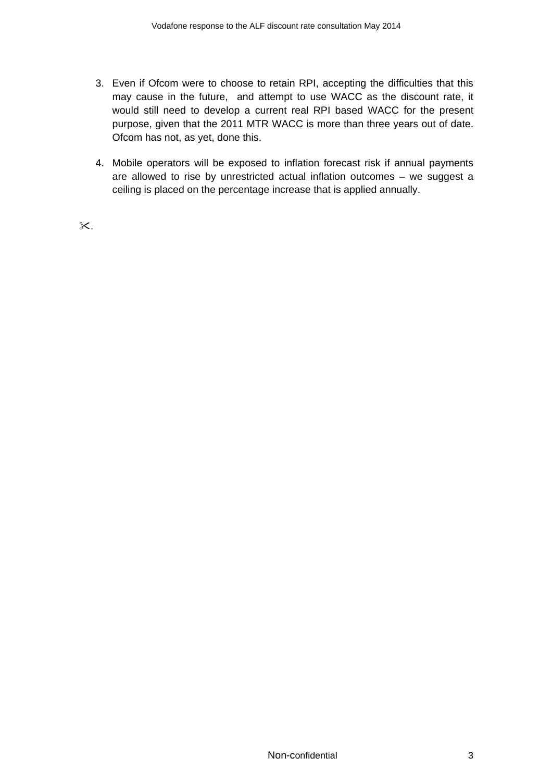- 3. Even if Ofcom were to choose to retain RPI, accepting the difficulties that this may cause in the future, and attempt to use WACC as the discount rate, it would still need to develop a current real RPI based WACC for the present purpose, given that the 2011 MTR WACC is more than three years out of date. Ofcom has not, as yet, done this.
- 4. Mobile operators will be exposed to inflation forecast risk if annual payments are allowed to rise by unrestricted actual inflation outcomes – we suggest a ceiling is placed on the percentage increase that is applied annually.

 $\times$ .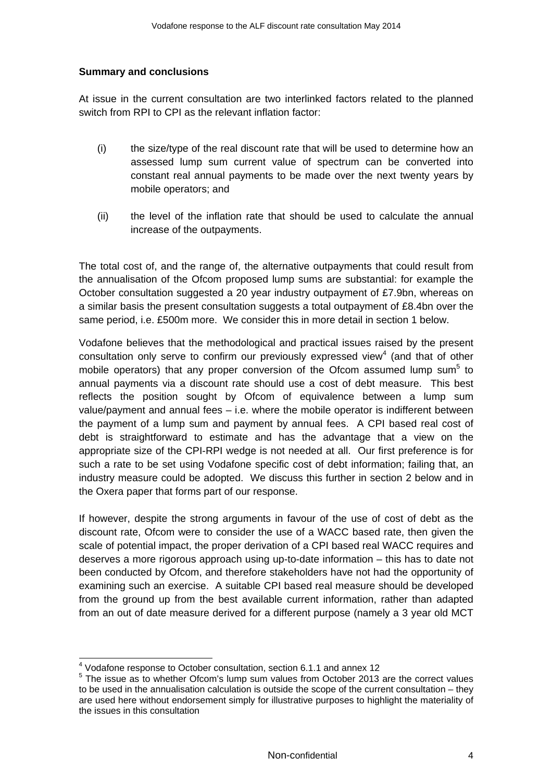#### **Summary and conclusions**

At issue in the current consultation are two interlinked factors related to the planned switch from RPI to CPI as the relevant inflation factor:

- (i) the size/type of the real discount rate that will be used to determine how an assessed lump sum current value of spectrum can be converted into constant real annual payments to be made over the next twenty years by mobile operators; and
- (ii) the level of the inflation rate that should be used to calculate the annual increase of the outpayments.

The total cost of, and the range of, the alternative outpayments that could result from the annualisation of the Ofcom proposed lump sums are substantial: for example the October consultation suggested a 20 year industry outpayment of £7.9bn, whereas on a similar basis the present consultation suggests a total outpayment of £8.4bn over the same period, i.e. £500m more. We consider this in more detail in section 1 below.

Vodafone believes that the methodological and practical issues raised by the present consultation only serve to confirm our previously expressed view<sup>4</sup> (and that of other mobile operators) that any proper conversion of the Ofcom assumed lump sum<sup>5</sup> to annual payments via a discount rate should use a cost of debt measure. This best reflects the position sought by Ofcom of equivalence between a lump sum value/payment and annual fees – i.e. where the mobile operator is indifferent between the payment of a lump sum and payment by annual fees. A CPI based real cost of debt is straightforward to estimate and has the advantage that a view on the appropriate size of the CPI-RPI wedge is not needed at all. Our first preference is for such a rate to be set using Vodafone specific cost of debt information; failing that, an industry measure could be adopted. We discuss this further in section 2 below and in the Oxera paper that forms part of our response.

If however, despite the strong arguments in favour of the use of cost of debt as the discount rate, Ofcom were to consider the use of a WACC based rate, then given the scale of potential impact, the proper derivation of a CPI based real WACC requires and deserves a more rigorous approach using up-to-date information – this has to date not been conducted by Ofcom, and therefore stakeholders have not had the opportunity of examining such an exercise. A suitable CPI based real measure should be developed from the ground up from the best available current information, rather than adapted from an out of date measure derived for a different purpose (namely a 3 year old MCT

 4 Vodafone response to October consultation, section 6.1.1 and annex 12

<sup>&</sup>lt;sup>5</sup> The issue as to whether Ofcom's lump sum values from October 2013 are the correct values to be used in the annualisation calculation is outside the scope of the current consultation – they are used here without endorsement simply for illustrative purposes to highlight the materiality of the issues in this consultation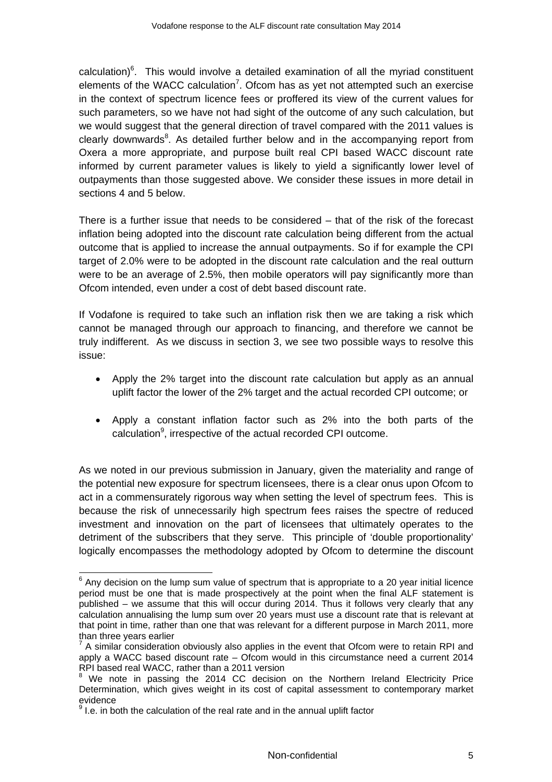calculation) $6$ . This would involve a detailed examination of all the myriad constituent elements of the WACC calculation<sup>7</sup>. Ofcom has as yet not attempted such an exercise in the context of spectrum licence fees or proffered its view of the current values for such parameters, so we have not had sight of the outcome of any such calculation, but we would suggest that the general direction of travel compared with the 2011 values is clearly downwards $8$ . As detailed further below and in the accompanying report from Oxera a more appropriate, and purpose built real CPI based WACC discount rate informed by current parameter values is likely to yield a significantly lower level of outpayments than those suggested above. We consider these issues in more detail in sections 4 and 5 below.

There is a further issue that needs to be considered – that of the risk of the forecast inflation being adopted into the discount rate calculation being different from the actual outcome that is applied to increase the annual outpayments. So if for example the CPI target of 2.0% were to be adopted in the discount rate calculation and the real outturn were to be an average of 2.5%, then mobile operators will pay significantly more than Ofcom intended, even under a cost of debt based discount rate.

If Vodafone is required to take such an inflation risk then we are taking a risk which cannot be managed through our approach to financing, and therefore we cannot be truly indifferent. As we discuss in section 3, we see two possible ways to resolve this issue:

- Apply the 2% target into the discount rate calculation but apply as an annual uplift factor the lower of the 2% target and the actual recorded CPI outcome; or
- Apply a constant inflation factor such as 2% into the both parts of the calculation<sup>9</sup>, irrespective of the actual recorded CPI outcome.

As we noted in our previous submission in January, given the materiality and range of the potential new exposure for spectrum licensees, there is a clear onus upon Ofcom to act in a commensurately rigorous way when setting the level of spectrum fees. This is because the risk of unnecessarily high spectrum fees raises the spectre of reduced investment and innovation on the part of licensees that ultimately operates to the detriment of the subscribers that they serve. This principle of 'double proportionality' logically encompasses the methodology adopted by Ofcom to determine the discount

j

 $6$  Any decision on the lump sum value of spectrum that is appropriate to a 20 year initial licence period must be one that is made prospectively at the point when the final ALF statement is published – we assume that this will occur during 2014. Thus it follows very clearly that any calculation annualising the lump sum over 20 years must use a discount rate that is relevant at that point in time, rather than one that was relevant for a different purpose in March 2011, more than three years earlier

 $7$  A similar consideration obviously also applies in the event that Ofcom were to retain RPI and apply a WACC based discount rate – Ofcom would in this circumstance need a current 2014 RPI based real WACC, rather than a 2011 version

<sup>&</sup>lt;sup>8</sup> We note in passing the 2014 CC decision on the Northern Ireland Electricity Price Determination, which gives weight in its cost of capital assessment to contemporary market evidence

 $9$  I.e. in both the calculation of the real rate and in the annual uplift factor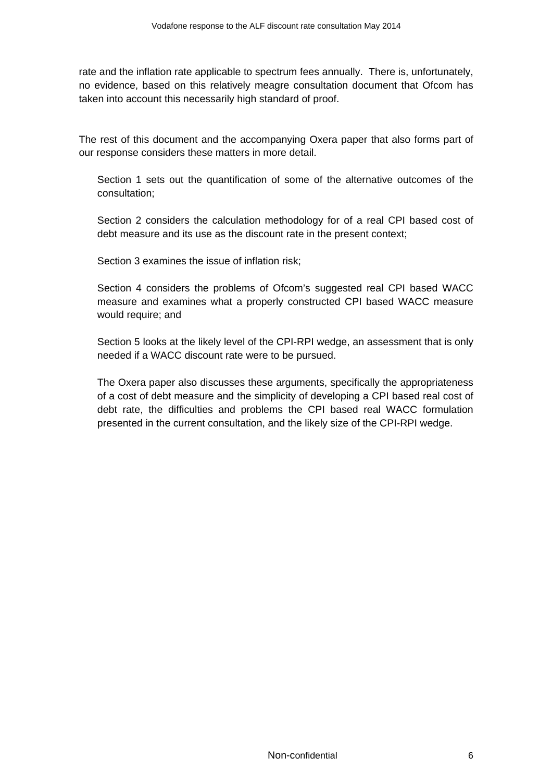rate and the inflation rate applicable to spectrum fees annually. There is, unfortunately, no evidence, based on this relatively meagre consultation document that Ofcom has taken into account this necessarily high standard of proof.

The rest of this document and the accompanying Oxera paper that also forms part of our response considers these matters in more detail.

Section 1 sets out the quantification of some of the alternative outcomes of the consultation;

Section 2 considers the calculation methodology for of a real CPI based cost of debt measure and its use as the discount rate in the present context;

Section 3 examines the issue of inflation risk;

Section 4 considers the problems of Ofcom's suggested real CPI based WACC measure and examines what a properly constructed CPI based WACC measure would require; and

Section 5 looks at the likely level of the CPI-RPI wedge, an assessment that is only needed if a WACC discount rate were to be pursued.

The Oxera paper also discusses these arguments, specifically the appropriateness of a cost of debt measure and the simplicity of developing a CPI based real cost of debt rate, the difficulties and problems the CPI based real WACC formulation presented in the current consultation, and the likely size of the CPI-RPI wedge.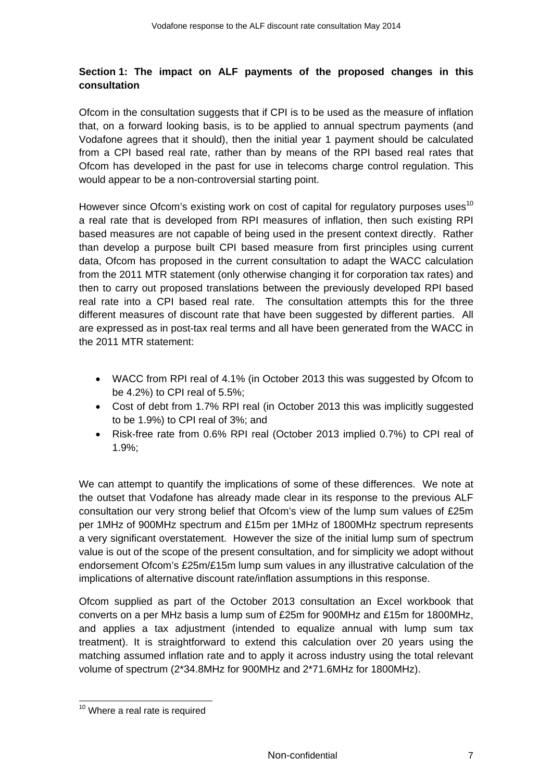# **Section 1: The impact on ALF payments of the proposed changes in this consultation**

Ofcom in the consultation suggests that if CPI is to be used as the measure of inflation that, on a forward looking basis, is to be applied to annual spectrum payments (and Vodafone agrees that it should), then the initial year 1 payment should be calculated from a CPI based real rate, rather than by means of the RPI based real rates that Ofcom has developed in the past for use in telecoms charge control regulation. This would appear to be a non-controversial starting point.

However since Ofcom's existing work on cost of capital for regulatory purposes uses<sup>10</sup> a real rate that is developed from RPI measures of inflation, then such existing RPI based measures are not capable of being used in the present context directly. Rather than develop a purpose built CPI based measure from first principles using current data, Ofcom has proposed in the current consultation to adapt the WACC calculation from the 2011 MTR statement (only otherwise changing it for corporation tax rates) and then to carry out proposed translations between the previously developed RPI based real rate into a CPI based real rate. The consultation attempts this for the three different measures of discount rate that have been suggested by different parties. All are expressed as in post-tax real terms and all have been generated from the WACC in the 2011 MTR statement:

- WACC from RPI real of 4.1% (in October 2013 this was suggested by Ofcom to be 4.2%) to CPI real of 5.5%;
- Cost of debt from 1.7% RPI real (in October 2013 this was implicitly suggested to be 1.9%) to CPI real of 3%; and
- Risk-free rate from 0.6% RPI real (October 2013 implied 0.7%) to CPI real of 1.9%;

We can attempt to quantify the implications of some of these differences. We note at the outset that Vodafone has already made clear in its response to the previous ALF consultation our very strong belief that Ofcom's view of the lump sum values of £25m per 1MHz of 900MHz spectrum and £15m per 1MHz of 1800MHz spectrum represents a very significant overstatement. However the size of the initial lump sum of spectrum value is out of the scope of the present consultation, and for simplicity we adopt without endorsement Ofcom's £25m/£15m lump sum values in any illustrative calculation of the implications of alternative discount rate/inflation assumptions in this response.

Ofcom supplied as part of the October 2013 consultation an Excel workbook that converts on a per MHz basis a lump sum of £25m for 900MHz and £15m for 1800MHz, and applies a tax adjustment (intended to equalize annual with lump sum tax treatment). It is straightforward to extend this calculation over 20 years using the matching assumed inflation rate and to apply it across industry using the total relevant volume of spectrum (2\*34.8MHz for 900MHz and 2\*71.6MHz for 1800MHz).

<sup>&</sup>lt;sup>10</sup> Where a real rate is required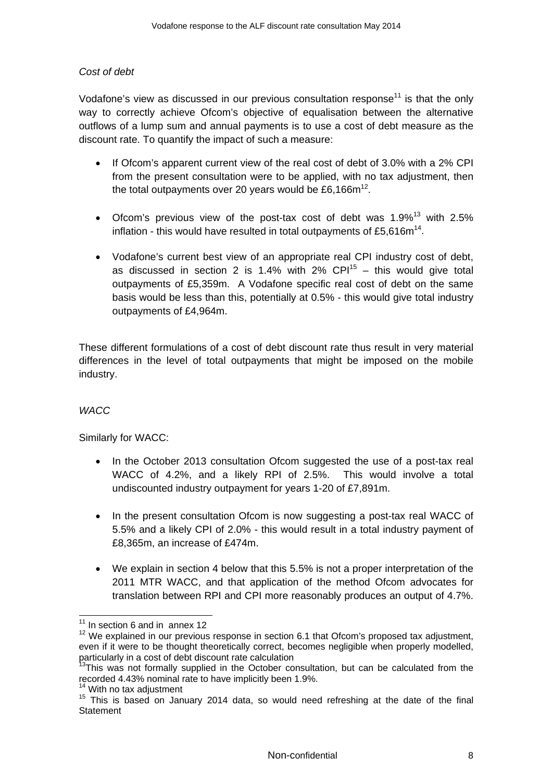# *Cost of debt*

Vodafone's view as discussed in our previous consultation response<sup>11</sup> is that the only way to correctly achieve Ofcom's objective of equalisation between the alternative outflows of a lump sum and annual payments is to use a cost of debt measure as the discount rate. To quantify the impact of such a measure:

- If Ofcom's apparent current view of the real cost of debt of 3.0% with a 2% CPI from the present consultation were to be applied, with no tax adjustment, then the total outpayments over 20 years would be £6,166 $m^{12}$ .
- Ofcom's previous view of the post-tax cost of debt was  $1.9\%$ <sup>13</sup> with 2.5% inflation - this would have resulted in total outpayments of £5,616 $m<sup>14</sup>$ .
- Vodafone's current best view of an appropriate real CPI industry cost of debt, as discussed in section 2 is 1.4% with 2%  $CPI<sup>15</sup>$  – this would give total outpayments of £5,359m. A Vodafone specific real cost of debt on the same basis would be less than this, potentially at 0.5% - this would give total industry outpayments of £4,964m.

These different formulations of a cost of debt discount rate thus result in very material differences in the level of total outpayments that might be imposed on the mobile industry.

#### *WACC*

Similarly for WACC:

- In the October 2013 consultation Ofcom suggested the use of a post-tax real WACC of 4.2%, and a likely RPI of 2.5%. This would involve a total undiscounted industry outpayment for years 1-20 of £7,891m.
- In the present consultation Ofcom is now suggesting a post-tax real WACC of 5.5% and a likely CPI of 2.0% - this would result in a total industry payment of £8,365m, an increase of £474m.
- We explain in section 4 below that this 5.5% is not a proper interpretation of the 2011 MTR WACC, and that application of the method Ofcom advocates for translation between RPI and CPI more reasonably produces an output of 4.7%.

 $11$  In section 6 and in annex 12

<sup>&</sup>lt;sup>12</sup> We explained in our previous response in section 6.1 that Ofcom's proposed tax adjustment, even if it were to be thought theoretically correct, becomes negligible when properly modelled, particularly in a cost of debt discount rate calculation

 $3$ This was not formally supplied in the October consultation, but can be calculated from the recorded 4.43% nominal rate to have implicitly been 1.9%.

<sup>&</sup>lt;sup>14</sup> With no tax adjustment<br><sup>15</sup> This is based on January 2014 data, so would need refreshing at the date of the final **Statement**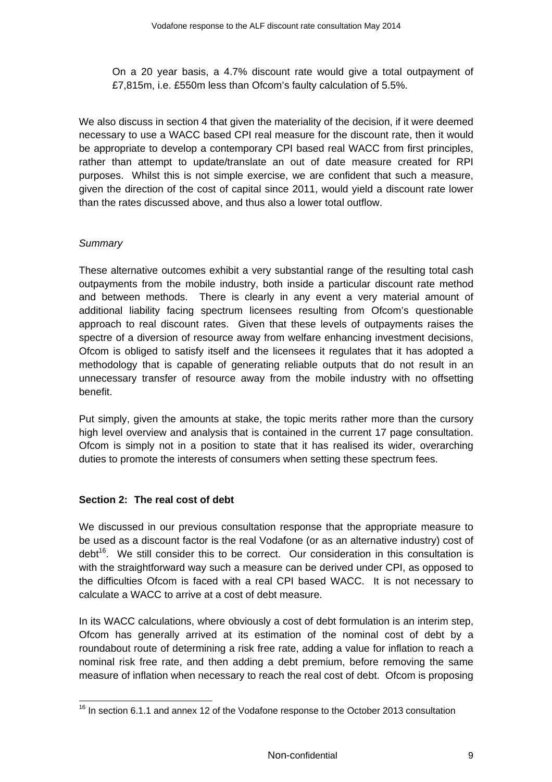On a 20 year basis, a 4.7% discount rate would give a total outpayment of £7,815m, i.e. £550m less than Ofcom's faulty calculation of 5.5%.

We also discuss in section 4 that given the materiality of the decision, if it were deemed necessary to use a WACC based CPI real measure for the discount rate, then it would be appropriate to develop a contemporary CPI based real WACC from first principles, rather than attempt to update/translate an out of date measure created for RPI purposes. Whilst this is not simple exercise, we are confident that such a measure, given the direction of the cost of capital since 2011, would yield a discount rate lower than the rates discussed above, and thus also a lower total outflow.

#### *Summary*

These alternative outcomes exhibit a very substantial range of the resulting total cash outpayments from the mobile industry, both inside a particular discount rate method and between methods. There is clearly in any event a very material amount of additional liability facing spectrum licensees resulting from Ofcom's questionable approach to real discount rates. Given that these levels of outpayments raises the spectre of a diversion of resource away from welfare enhancing investment decisions, Ofcom is obliged to satisfy itself and the licensees it regulates that it has adopted a methodology that is capable of generating reliable outputs that do not result in an unnecessary transfer of resource away from the mobile industry with no offsetting benefit.

Put simply, given the amounts at stake, the topic merits rather more than the cursory high level overview and analysis that is contained in the current 17 page consultation. Ofcom is simply not in a position to state that it has realised its wider, overarching duties to promote the interests of consumers when setting these spectrum fees.

#### **Section 2: The real cost of debt**

We discussed in our previous consultation response that the appropriate measure to be used as a discount factor is the real Vodafone (or as an alternative industry) cost of  $\text{debt}^{16}$ . We still consider this to be correct. Our consideration in this consultation is with the straightforward way such a measure can be derived under CPI, as opposed to the difficulties Ofcom is faced with a real CPI based WACC. It is not necessary to calculate a WACC to arrive at a cost of debt measure.

In its WACC calculations, where obviously a cost of debt formulation is an interim step, Ofcom has generally arrived at its estimation of the nominal cost of debt by a roundabout route of determining a risk free rate, adding a value for inflation to reach a nominal risk free rate, and then adding a debt premium, before removing the same measure of inflation when necessary to reach the real cost of debt. Ofcom is proposing

 $\overline{a}$  $16$  In section 6.1.1 and annex 12 of the Vodafone response to the October 2013 consultation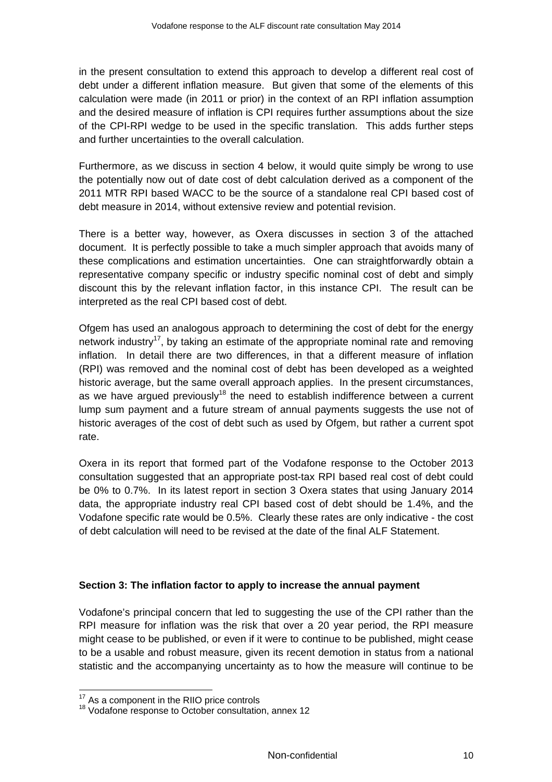in the present consultation to extend this approach to develop a different real cost of debt under a different inflation measure. But given that some of the elements of this calculation were made (in 2011 or prior) in the context of an RPI inflation assumption and the desired measure of inflation is CPI requires further assumptions about the size of the CPI-RPI wedge to be used in the specific translation. This adds further steps and further uncertainties to the overall calculation.

Furthermore, as we discuss in section 4 below, it would quite simply be wrong to use the potentially now out of date cost of debt calculation derived as a component of the 2011 MTR RPI based WACC to be the source of a standalone real CPI based cost of debt measure in 2014, without extensive review and potential revision.

There is a better way, however, as Oxera discusses in section 3 of the attached document. It is perfectly possible to take a much simpler approach that avoids many of these complications and estimation uncertainties. One can straightforwardly obtain a representative company specific or industry specific nominal cost of debt and simply discount this by the relevant inflation factor, in this instance CPI. The result can be interpreted as the real CPI based cost of debt.

Ofgem has used an analogous approach to determining the cost of debt for the energy network industry<sup>17</sup>, by taking an estimate of the appropriate nominal rate and removing inflation. In detail there are two differences, in that a different measure of inflation (RPI) was removed and the nominal cost of debt has been developed as a weighted historic average, but the same overall approach applies. In the present circumstances, as we have argued previously<sup>18</sup> the need to establish indifference between a current lump sum payment and a future stream of annual payments suggests the use not of historic averages of the cost of debt such as used by Ofgem, but rather a current spot rate.

Oxera in its report that formed part of the Vodafone response to the October 2013 consultation suggested that an appropriate post-tax RPI based real cost of debt could be 0% to 0.7%. In its latest report in section 3 Oxera states that using January 2014 data, the appropriate industry real CPI based cost of debt should be 1.4%, and the Vodafone specific rate would be 0.5%. Clearly these rates are only indicative - the cost of debt calculation will need to be revised at the date of the final ALF Statement.

#### **Section 3: The inflation factor to apply to increase the annual payment**

Vodafone's principal concern that led to suggesting the use of the CPI rather than the RPI measure for inflation was the risk that over a 20 year period, the RPI measure might cease to be published, or even if it were to continue to be published, might cease to be a usable and robust measure, given its recent demotion in status from a national statistic and the accompanying uncertainty as to how the measure will continue to be

<sup>&</sup>lt;sup>17</sup> As a component in the RIIO price controls

 $18$  Vodafone response to October consultation, annex 12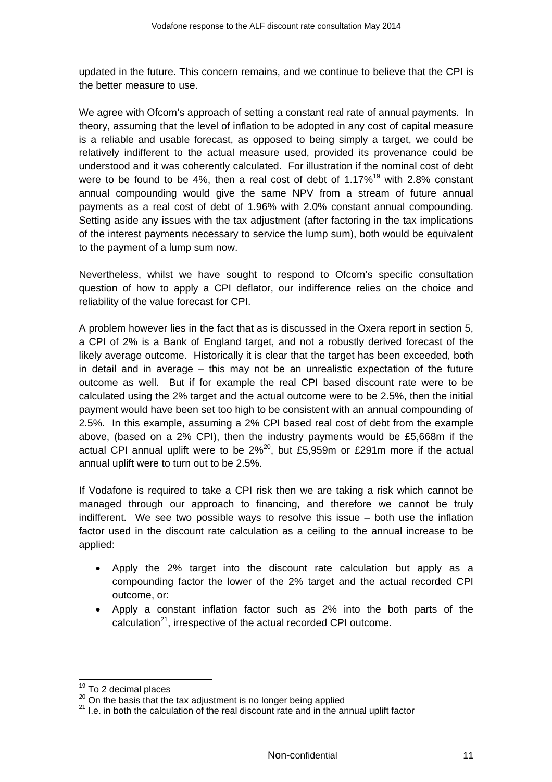updated in the future. This concern remains, and we continue to believe that the CPI is the better measure to use.

We agree with Ofcom's approach of setting a constant real rate of annual payments. In theory, assuming that the level of inflation to be adopted in any cost of capital measure is a reliable and usable forecast, as opposed to being simply a target, we could be relatively indifferent to the actual measure used, provided its provenance could be understood and it was coherently calculated. For illustration if the nominal cost of debt were to be found to be 4%, then a real cost of debt of 1.17%<sup>19</sup> with 2.8% constant annual compounding would give the same NPV from a stream of future annual payments as a real cost of debt of 1.96% with 2.0% constant annual compounding. Setting aside any issues with the tax adjustment (after factoring in the tax implications of the interest payments necessary to service the lump sum), both would be equivalent to the payment of a lump sum now.

Nevertheless, whilst we have sought to respond to Ofcom's specific consultation question of how to apply a CPI deflator, our indifference relies on the choice and reliability of the value forecast for CPI.

A problem however lies in the fact that as is discussed in the Oxera report in section 5, a CPI of 2% is a Bank of England target, and not a robustly derived forecast of the likely average outcome. Historically it is clear that the target has been exceeded, both in detail and in average – this may not be an unrealistic expectation of the future outcome as well. But if for example the real CPI based discount rate were to be calculated using the 2% target and the actual outcome were to be 2.5%, then the initial payment would have been set too high to be consistent with an annual compounding of 2.5%. In this example, assuming a 2% CPI based real cost of debt from the example above, (based on a 2% CPI), then the industry payments would be £5,668m if the actual CPI annual uplift were to be  $2\%^{20}$ , but £5,959m or £291m more if the actual annual uplift were to turn out to be 2.5%.

If Vodafone is required to take a CPI risk then we are taking a risk which cannot be managed through our approach to financing, and therefore we cannot be truly indifferent. We see two possible ways to resolve this issue – both use the inflation factor used in the discount rate calculation as a ceiling to the annual increase to be applied:

- Apply the 2% target into the discount rate calculation but apply as a compounding factor the lower of the 2% target and the actual recorded CPI outcome, or:
- Apply a constant inflation factor such as 2% into the both parts of the calculation $^{21}$ , irrespective of the actual recorded CPI outcome.

<sup>&</sup>lt;sup>19</sup> To 2 decimal places<br><sup>20</sup> On the basis that the tax adjustment is no longer being applied<br><sup>21</sup> I.e. in both the calculation of the real discount rate and in the annual uplift factor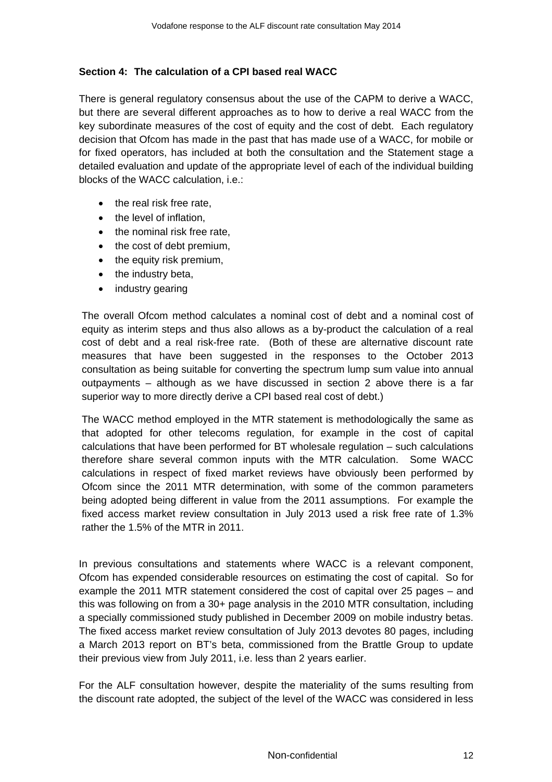#### **Section 4: The calculation of a CPI based real WACC**

There is general regulatory consensus about the use of the CAPM to derive a WACC, but there are several different approaches as to how to derive a real WACC from the key subordinate measures of the cost of equity and the cost of debt. Each regulatory decision that Ofcom has made in the past that has made use of a WACC, for mobile or for fixed operators, has included at both the consultation and the Statement stage a detailed evaluation and update of the appropriate level of each of the individual building blocks of the WACC calculation, i.e.:

- the real risk free rate.
- the level of inflation.
- the nominal risk free rate.
- the cost of debt premium,
- the equity risk premium,
- the industry beta,
- industry gearing

The overall Ofcom method calculates a nominal cost of debt and a nominal cost of equity as interim steps and thus also allows as a by-product the calculation of a real cost of debt and a real risk-free rate. (Both of these are alternative discount rate measures that have been suggested in the responses to the October 2013 consultation as being suitable for converting the spectrum lump sum value into annual outpayments – although as we have discussed in section 2 above there is a far superior way to more directly derive a CPI based real cost of debt.)

The WACC method employed in the MTR statement is methodologically the same as that adopted for other telecoms regulation, for example in the cost of capital calculations that have been performed for BT wholesale regulation – such calculations therefore share several common inputs with the MTR calculation. Some WACC calculations in respect of fixed market reviews have obviously been performed by Ofcom since the 2011 MTR determination, with some of the common parameters being adopted being different in value from the 2011 assumptions. For example the fixed access market review consultation in July 2013 used a risk free rate of 1.3% rather the 1.5% of the MTR in 2011.

In previous consultations and statements where WACC is a relevant component, Ofcom has expended considerable resources on estimating the cost of capital. So for example the 2011 MTR statement considered the cost of capital over 25 pages – and this was following on from a 30+ page analysis in the 2010 MTR consultation, including a specially commissioned study published in December 2009 on mobile industry betas. The fixed access market review consultation of July 2013 devotes 80 pages, including a March 2013 report on BT's beta, commissioned from the Brattle Group to update their previous view from July 2011, i.e. less than 2 years earlier.

For the ALF consultation however, despite the materiality of the sums resulting from the discount rate adopted, the subject of the level of the WACC was considered in less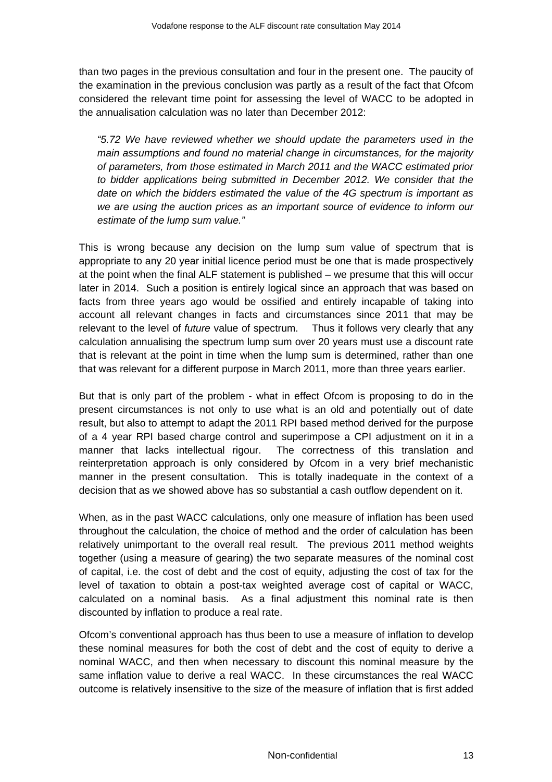than two pages in the previous consultation and four in the present one. The paucity of the examination in the previous conclusion was partly as a result of the fact that Ofcom considered the relevant time point for assessing the level of WACC to be adopted in the annualisation calculation was no later than December 2012:

*"5.72 We have reviewed whether we should update the parameters used in the main assumptions and found no material change in circumstances, for the majority of parameters, from those estimated in March 2011 and the WACC estimated prior to bidder applications being submitted in December 2012. We consider that the date on which the bidders estimated the value of the 4G spectrum is important as we are using the auction prices as an important source of evidence to inform our estimate of the lump sum value."* 

This is wrong because any decision on the lump sum value of spectrum that is appropriate to any 20 year initial licence period must be one that is made prospectively at the point when the final ALF statement is published – we presume that this will occur later in 2014. Such a position is entirely logical since an approach that was based on facts from three years ago would be ossified and entirely incapable of taking into account all relevant changes in facts and circumstances since 2011 that may be relevant to the level of *future* value of spectrum. Thus it follows very clearly that any calculation annualising the spectrum lump sum over 20 years must use a discount rate that is relevant at the point in time when the lump sum is determined, rather than one that was relevant for a different purpose in March 2011, more than three years earlier.

But that is only part of the problem - what in effect Ofcom is proposing to do in the present circumstances is not only to use what is an old and potentially out of date result, but also to attempt to adapt the 2011 RPI based method derived for the purpose of a 4 year RPI based charge control and superimpose a CPI adjustment on it in a manner that lacks intellectual rigour. The correctness of this translation and reinterpretation approach is only considered by Ofcom in a very brief mechanistic manner in the present consultation. This is totally inadequate in the context of a decision that as we showed above has so substantial a cash outflow dependent on it.

When, as in the past WACC calculations, only one measure of inflation has been used throughout the calculation, the choice of method and the order of calculation has been relatively unimportant to the overall real result. The previous 2011 method weights together (using a measure of gearing) the two separate measures of the nominal cost of capital, i.e. the cost of debt and the cost of equity, adjusting the cost of tax for the level of taxation to obtain a post-tax weighted average cost of capital or WACC, calculated on a nominal basis. As a final adjustment this nominal rate is then discounted by inflation to produce a real rate.

Ofcom's conventional approach has thus been to use a measure of inflation to develop these nominal measures for both the cost of debt and the cost of equity to derive a nominal WACC, and then when necessary to discount this nominal measure by the same inflation value to derive a real WACC. In these circumstances the real WACC outcome is relatively insensitive to the size of the measure of inflation that is first added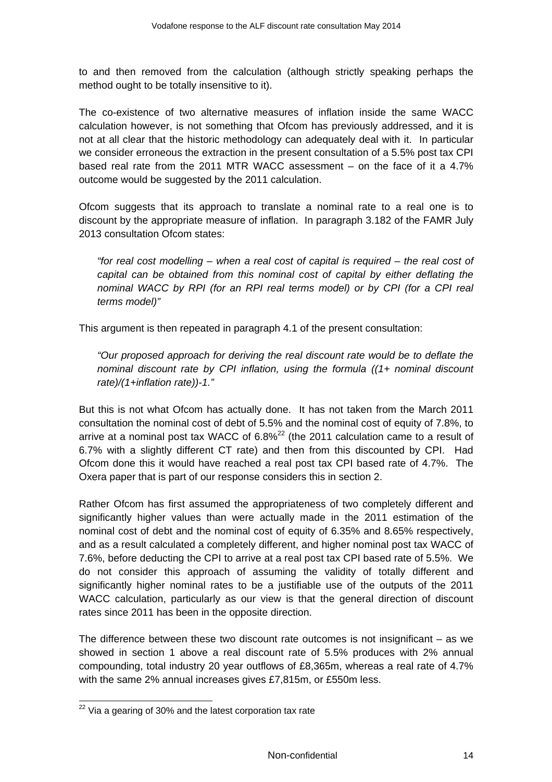to and then removed from the calculation (although strictly speaking perhaps the method ought to be totally insensitive to it).

The co-existence of two alternative measures of inflation inside the same WACC calculation however, is not something that Ofcom has previously addressed, and it is not at all clear that the historic methodology can adequately deal with it. In particular we consider erroneous the extraction in the present consultation of a 5.5% post tax CPI based real rate from the 2011 MTR WACC assessment – on the face of it a 4.7% outcome would be suggested by the 2011 calculation.

Ofcom suggests that its approach to translate a nominal rate to a real one is to discount by the appropriate measure of inflation. In paragraph 3.182 of the FAMR July 2013 consultation Ofcom states:

*"for real cost modelling – when a real cost of capital is required – the real cost of capital can be obtained from this nominal cost of capital by either deflating the nominal WACC by RPI (for an RPI real terms model) or by CPI (for a CPI real terms model)"* 

This argument is then repeated in paragraph 4.1 of the present consultation:

*"Our proposed approach for deriving the real discount rate would be to deflate the nominal discount rate by CPI inflation, using the formula ((1+ nominal discount rate)/(1+inflation rate))-1."* 

But this is not what Ofcom has actually done. It has not taken from the March 2011 consultation the nominal cost of debt of 5.5% and the nominal cost of equity of 7.8%, to arrive at a nominal post tax WACC of  $6.8\%^{22}$  (the 2011 calculation came to a result of 6.7% with a slightly different CT rate) and then from this discounted by CPI. Had Ofcom done this it would have reached a real post tax CPI based rate of 4.7%. The Oxera paper that is part of our response considers this in section 2.

Rather Ofcom has first assumed the appropriateness of two completely different and significantly higher values than were actually made in the 2011 estimation of the nominal cost of debt and the nominal cost of equity of 6.35% and 8.65% respectively, and as a result calculated a completely different, and higher nominal post tax WACC of 7.6%, before deducting the CPI to arrive at a real post tax CPI based rate of 5.5%. We do not consider this approach of assuming the validity of totally different and significantly higher nominal rates to be a justifiable use of the outputs of the 2011 WACC calculation, particularly as our view is that the general direction of discount rates since 2011 has been in the opposite direction.

The difference between these two discount rate outcomes is not insignificant – as we showed in section 1 above a real discount rate of 5.5% produces with 2% annual compounding, total industry 20 year outflows of £8,365m, whereas a real rate of 4.7% with the same 2% annual increases gives £7,815m, or £550m less.

 $22$  Via a gearing of 30% and the latest corporation tax rate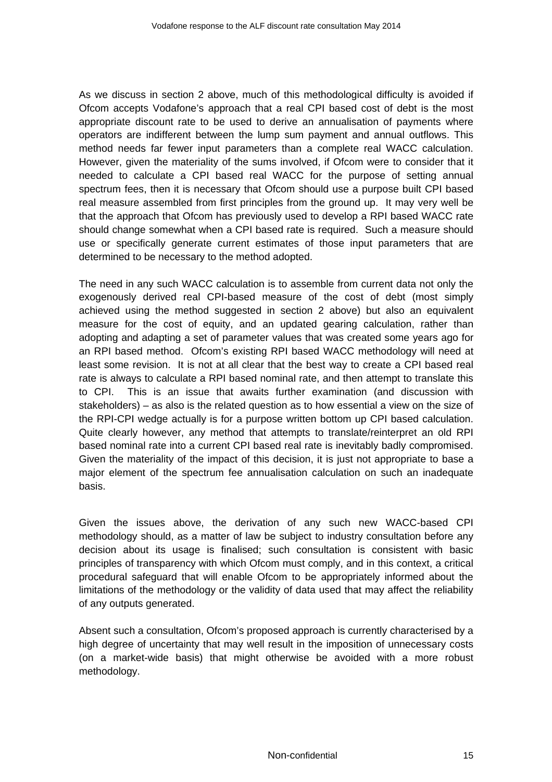As we discuss in section 2 above, much of this methodological difficulty is avoided if Ofcom accepts Vodafone's approach that a real CPI based cost of debt is the most appropriate discount rate to be used to derive an annualisation of payments where operators are indifferent between the lump sum payment and annual outflows. This method needs far fewer input parameters than a complete real WACC calculation. However, given the materiality of the sums involved, if Ofcom were to consider that it needed to calculate a CPI based real WACC for the purpose of setting annual spectrum fees, then it is necessary that Ofcom should use a purpose built CPI based real measure assembled from first principles from the ground up. It may very well be that the approach that Ofcom has previously used to develop a RPI based WACC rate should change somewhat when a CPI based rate is required. Such a measure should use or specifically generate current estimates of those input parameters that are determined to be necessary to the method adopted.

The need in any such WACC calculation is to assemble from current data not only the exogenously derived real CPI-based measure of the cost of debt (most simply achieved using the method suggested in section 2 above) but also an equivalent measure for the cost of equity, and an updated gearing calculation, rather than adopting and adapting a set of parameter values that was created some years ago for an RPI based method. Ofcom's existing RPI based WACC methodology will need at least some revision. It is not at all clear that the best way to create a CPI based real rate is always to calculate a RPI based nominal rate, and then attempt to translate this to CPI. This is an issue that awaits further examination (and discussion with stakeholders) – as also is the related question as to how essential a view on the size of the RPI-CPI wedge actually is for a purpose written bottom up CPI based calculation. Quite clearly however, any method that attempts to translate/reinterpret an old RPI based nominal rate into a current CPI based real rate is inevitably badly compromised. Given the materiality of the impact of this decision, it is just not appropriate to base a major element of the spectrum fee annualisation calculation on such an inadequate basis.

Given the issues above, the derivation of any such new WACC-based CPI methodology should, as a matter of law be subject to industry consultation before any decision about its usage is finalised; such consultation is consistent with basic principles of transparency with which Ofcom must comply, and in this context, a critical procedural safeguard that will enable Ofcom to be appropriately informed about the limitations of the methodology or the validity of data used that may affect the reliability of any outputs generated.

Absent such a consultation, Ofcom's proposed approach is currently characterised by a high degree of uncertainty that may well result in the imposition of unnecessary costs (on a market-wide basis) that might otherwise be avoided with a more robust methodology.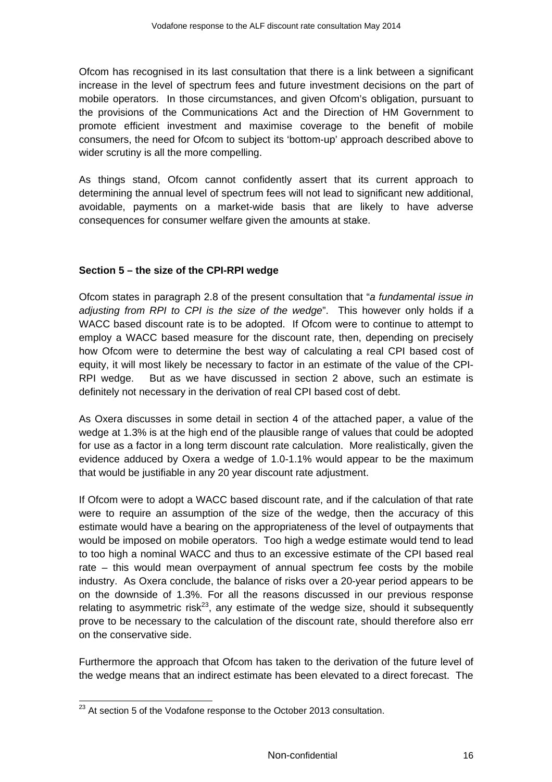Ofcom has recognised in its last consultation that there is a link between a significant increase in the level of spectrum fees and future investment decisions on the part of mobile operators. In those circumstances, and given Ofcom's obligation, pursuant to the provisions of the Communications Act and the Direction of HM Government to promote efficient investment and maximise coverage to the benefit of mobile consumers, the need for Ofcom to subject its 'bottom-up' approach described above to wider scrutiny is all the more compelling.

As things stand, Ofcom cannot confidently assert that its current approach to determining the annual level of spectrum fees will not lead to significant new additional, avoidable, payments on a market-wide basis that are likely to have adverse consequences for consumer welfare given the amounts at stake.

# **Section 5 – the size of the CPI-RPI wedge**

Ofcom states in paragraph 2.8 of the present consultation that "*a fundamental issue in adjusting from RPI to CPI is the size of the wedge*". This however only holds if a WACC based discount rate is to be adopted. If Ofcom were to continue to attempt to employ a WACC based measure for the discount rate, then, depending on precisely how Ofcom were to determine the best way of calculating a real CPI based cost of equity, it will most likely be necessary to factor in an estimate of the value of the CPI-RPI wedge. But as we have discussed in section 2 above, such an estimate is definitely not necessary in the derivation of real CPI based cost of debt.

As Oxera discusses in some detail in section 4 of the attached paper, a value of the wedge at 1.3% is at the high end of the plausible range of values that could be adopted for use as a factor in a long term discount rate calculation. More realistically, given the evidence adduced by Oxera a wedge of 1.0-1.1% would appear to be the maximum that would be justifiable in any 20 year discount rate adjustment.

If Ofcom were to adopt a WACC based discount rate, and if the calculation of that rate were to require an assumption of the size of the wedge, then the accuracy of this estimate would have a bearing on the appropriateness of the level of outpayments that would be imposed on mobile operators. Too high a wedge estimate would tend to lead to too high a nominal WACC and thus to an excessive estimate of the CPI based real rate – this would mean overpayment of annual spectrum fee costs by the mobile industry. As Oxera conclude, the balance of risks over a 20-year period appears to be on the downside of 1.3%. For all the reasons discussed in our previous response relating to asymmetric risk<sup>23</sup>, any estimate of the wedge size, should it subsequently prove to be necessary to the calculation of the discount rate, should therefore also err on the conservative side.

Furthermore the approach that Ofcom has taken to the derivation of the future level of the wedge means that an indirect estimate has been elevated to a direct forecast. The

 $\overline{a}$  $^{23}$  At section 5 of the Vodafone response to the October 2013 consultation.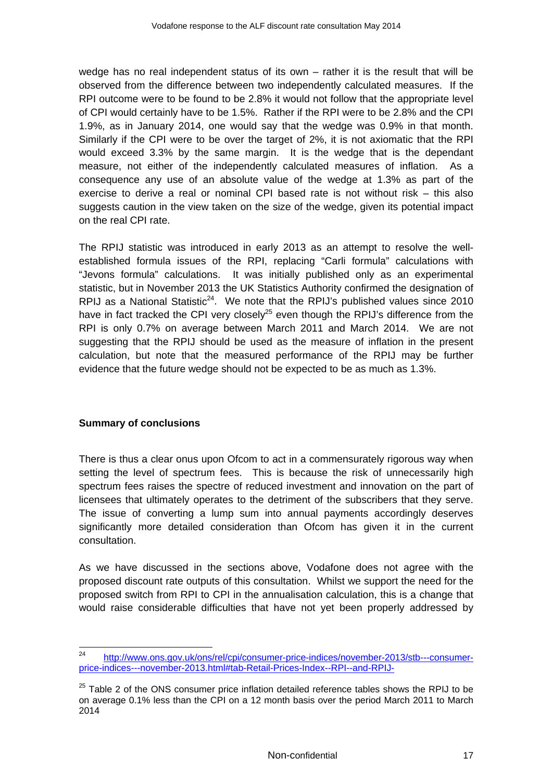wedge has no real independent status of its own – rather it is the result that will be observed from the difference between two independently calculated measures. If the RPI outcome were to be found to be 2.8% it would not follow that the appropriate level of CPI would certainly have to be 1.5%. Rather if the RPI were to be 2.8% and the CPI 1.9%, as in January 2014, one would say that the wedge was 0.9% in that month. Similarly if the CPI were to be over the target of 2%, it is not axiomatic that the RPI would exceed 3.3% by the same margin. It is the wedge that is the dependant measure, not either of the independently calculated measures of inflation. As a consequence any use of an absolute value of the wedge at 1.3% as part of the exercise to derive a real or nominal CPI based rate is not without risk – this also suggests caution in the view taken on the size of the wedge, given its potential impact on the real CPI rate.

The RPIJ statistic was introduced in early 2013 as an attempt to resolve the wellestablished formula issues of the RPI, replacing "Carli formula" calculations with "Jevons formula" calculations. It was initially published only as an experimental statistic, but in November 2013 the UK Statistics Authority confirmed the designation of RPIJ as a National Statistic<sup>24</sup>. We note that the RPIJ's published values since 2010 have in fact tracked the CPI very closely<sup>25</sup> even though the RPIJ's difference from the RPI is only 0.7% on average between March 2011 and March 2014. We are not suggesting that the RPIJ should be used as the measure of inflation in the present calculation, but note that the measured performance of the RPIJ may be further evidence that the future wedge should not be expected to be as much as 1.3%.

#### **Summary of conclusions**

There is thus a clear onus upon Ofcom to act in a commensurately rigorous way when setting the level of spectrum fees. This is because the risk of unnecessarily high spectrum fees raises the spectre of reduced investment and innovation on the part of licensees that ultimately operates to the detriment of the subscribers that they serve. The issue of converting a lump sum into annual payments accordingly deserves significantly more detailed consideration than Ofcom has given it in the current consultation.

As we have discussed in the sections above, Vodafone does not agree with the proposed discount rate outputs of this consultation. Whilst we support the need for the proposed switch from RPI to CPI in the annualisation calculation, this is a change that would raise considerable difficulties that have not yet been properly addressed by

 $24$ http://www.ons.gov.uk/ons/rel/cpi/consumer-price-indices/november-2013/stb---consumerprice-indices---november-2013.html#tab-Retail-Prices-Index--RPI--and-RPIJ-

 $25$  Table 2 of the ONS consumer price inflation detailed reference tables shows the RPIJ to be on average 0.1% less than the CPI on a 12 month basis over the period March 2011 to March 2014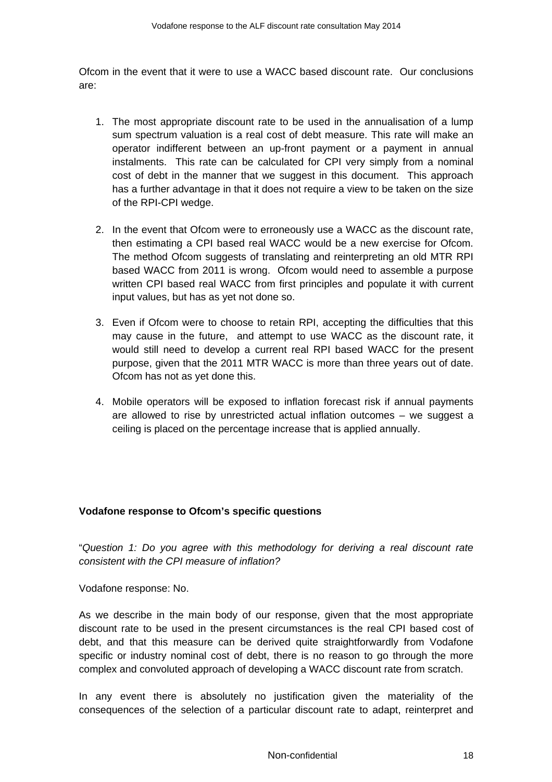Ofcom in the event that it were to use a WACC based discount rate. Our conclusions are:

- 1. The most appropriate discount rate to be used in the annualisation of a lump sum spectrum valuation is a real cost of debt measure. This rate will make an operator indifferent between an up-front payment or a payment in annual instalments. This rate can be calculated for CPI very simply from a nominal cost of debt in the manner that we suggest in this document. This approach has a further advantage in that it does not require a view to be taken on the size of the RPI-CPI wedge.
- 2. In the event that Ofcom were to erroneously use a WACC as the discount rate, then estimating a CPI based real WACC would be a new exercise for Ofcom. The method Ofcom suggests of translating and reinterpreting an old MTR RPI based WACC from 2011 is wrong. Ofcom would need to assemble a purpose written CPI based real WACC from first principles and populate it with current input values, but has as yet not done so.
- 3. Even if Ofcom were to choose to retain RPI, accepting the difficulties that this may cause in the future, and attempt to use WACC as the discount rate, it would still need to develop a current real RPI based WACC for the present purpose, given that the 2011 MTR WACC is more than three years out of date. Ofcom has not as yet done this.
- 4. Mobile operators will be exposed to inflation forecast risk if annual payments are allowed to rise by unrestricted actual inflation outcomes – we suggest a ceiling is placed on the percentage increase that is applied annually.

#### **Vodafone response to Ofcom's specific questions**

"*Question 1: Do you agree with this methodology for deriving a real discount rate consistent with the CPI measure of inflation?* 

Vodafone response: No.

As we describe in the main body of our response, given that the most appropriate discount rate to be used in the present circumstances is the real CPI based cost of debt, and that this measure can be derived quite straightforwardly from Vodafone specific or industry nominal cost of debt, there is no reason to go through the more complex and convoluted approach of developing a WACC discount rate from scratch.

In any event there is absolutely no justification given the materiality of the consequences of the selection of a particular discount rate to adapt, reinterpret and